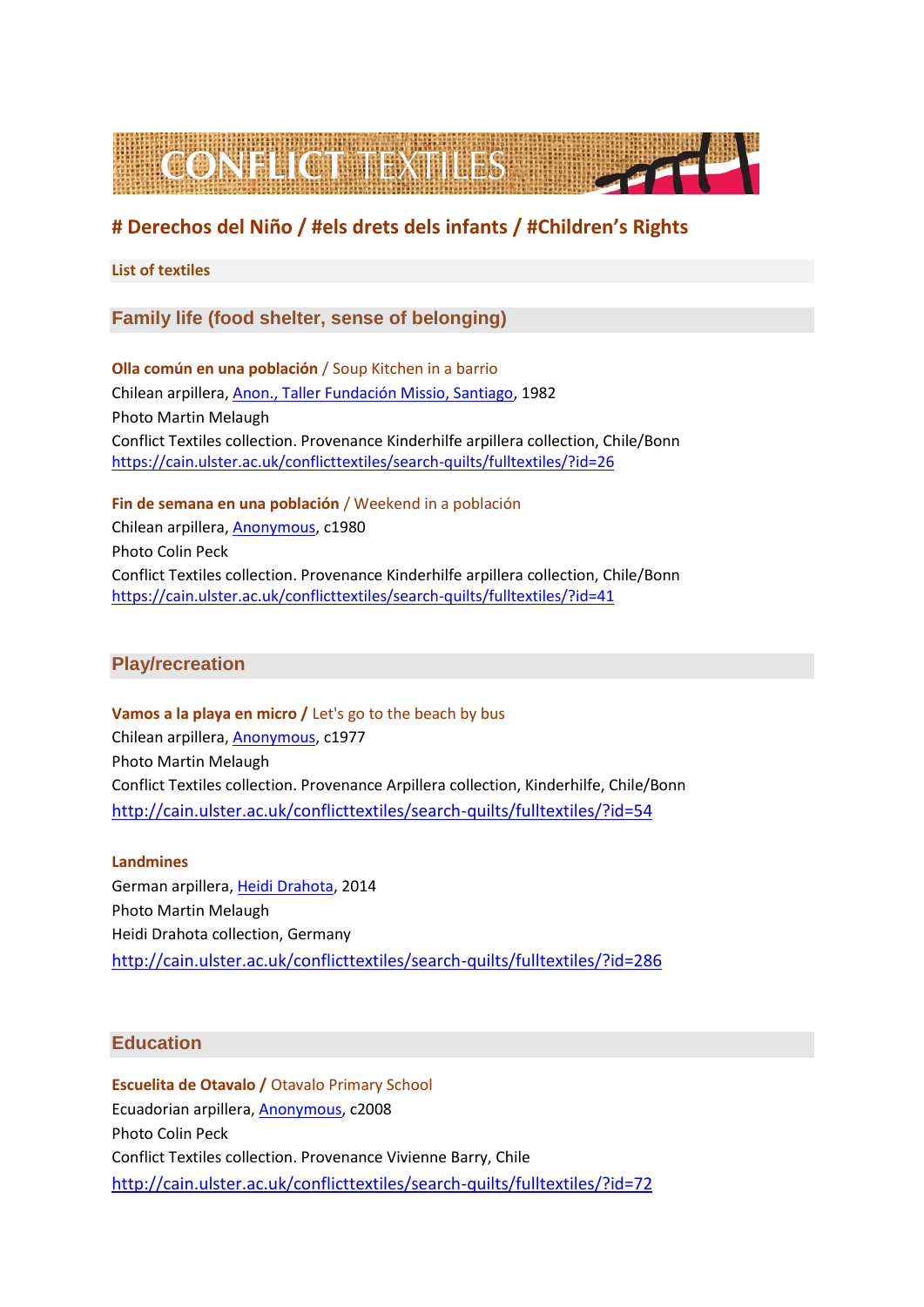

# **# Derechos del Niño / #els drets dels infants / #Children's Rights**

### **List of textiles**

## **Family life (food shelter, sense of belonging)**

**Olla común en una población** / Soup Kitchen in a barrio Chilean arpillera, [Anon., Taller Fundación Missio, Santiago,](https://cain.ulster.ac.uk/conflicttextiles/search-quilts2/searchtextiles1/?quilter=Anon.,%20Taller%20Fundaci%C3%B3n%20Missio,%20Santiago) 1982 Photo Martin Melaugh Conflict Textiles collection. Provenance Kinderhilfe arpillera collection, Chile/Bonn <https://cain.ulster.ac.uk/conflicttextiles/search-quilts/fulltextiles/?id=26>

**Fin de semana en una población** / Weekend in a población Chilean arpillera, [Anonymous,](https://cain.ulster.ac.uk/conflicttextiles/search-quilts2/searchtextiles1/?quilter=Anonymous) c1980 Photo Colin Peck Conflict Textiles collection. Provenance Kinderhilfe arpillera collection, Chile/Bonn

<https://cain.ulster.ac.uk/conflicttextiles/search-quilts/fulltextiles/?id=41>

# **Play/recreation**

**Vamos a la playa en micro /** Let's go to the beach by bus Chilean arpillera, [Anonymous,](https://cain.ulster.ac.uk/conflicttextiles/search-quilts2/searchtextiles1/?quilter=Anonymous) c1977 Photo Martin Melaugh Conflict Textiles collection. Provenance Arpillera collection, Kinderhilfe, Chile/Bonn <http://cain.ulster.ac.uk/conflicttextiles/search-quilts/fulltextiles/?id=54>

#### **Landmines**

German arpillera, [Heidi Drahota,](https://cain.ulster.ac.uk/conflicttextiles/search-quilts2/searchtextiles1/?quilter=Heidi%20Drahota) 2014 Photo Martin Melaugh Heidi Drahota collection, Germany <http://cain.ulster.ac.uk/conflicttextiles/search-quilts/fulltextiles/?id=286>

## **Education**

**Escuelita de Otavalo /** Otavalo Primary School Ecuadorian arpillera, [Anonymous,](https://cain.ulster.ac.uk/conflicttextiles/search-quilts2/searchtextiles1/?quilter=Anonymous) c2008 Photo Colin Peck Conflict Textiles collection. Provenance Vivienne Barry, Chile <http://cain.ulster.ac.uk/conflicttextiles/search-quilts/fulltextiles/?id=72>